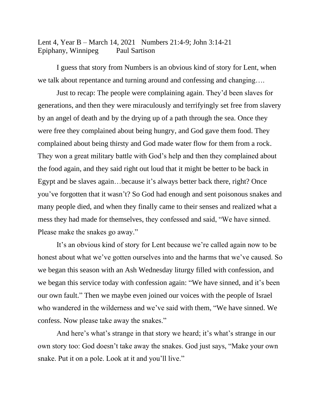Lent 4, Year B – March 14, 2021 Numbers 21:4-9; John 3:14-21 Epiphany, Winnipeg Paul Sartison

I guess that story from Numbers is an obvious kind of story for Lent, when we talk about repentance and turning around and confessing and changing….

Just to recap: The people were complaining again. They'd been slaves for generations, and then they were miraculously and terrifyingly set free from slavery by an angel of death and by the drying up of a path through the sea. Once they were free they complained about being hungry, and God gave them food. They complained about being thirsty and God made water flow for them from a rock. They won a great military battle with God's help and then they complained about the food again, and they said right out loud that it might be better to be back in Egypt and be slaves again…because it's always better back there, right? Once you've forgotten that it wasn't? So God had enough and sent poisonous snakes and many people died, and when they finally came to their senses and realized what a mess they had made for themselves, they confessed and said, "We have sinned. Please make the snakes go away."

It's an obvious kind of story for Lent because we're called again now to be honest about what we've gotten ourselves into and the harms that we've caused. So we began this season with an Ash Wednesday liturgy filled with confession, and we began this service today with confession again: "We have sinned, and it's been our own fault." Then we maybe even joined our voices with the people of Israel who wandered in the wilderness and we've said with them, "We have sinned. We confess. Now please take away the snakes."

And here's what's strange in that story we heard; it's what's strange in our own story too: God doesn't take away the snakes. God just says, "Make your own snake. Put it on a pole. Look at it and you'll live."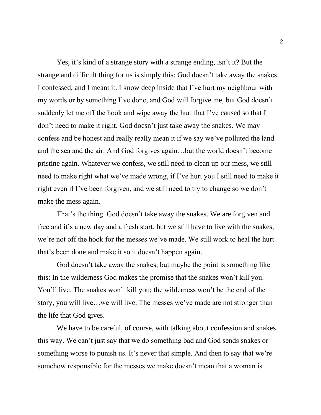Yes, it's kind of a strange story with a strange ending, isn't it? But the strange and difficult thing for us is simply this: God doesn't take away the snakes. I confessed, and I meant it. I know deep inside that I've hurt my neighbour with my words or by something I've done, and God will forgive me, but God doesn't suddenly let me off the hook and wipe away the hurt that I've caused so that I don't need to make it right. God doesn't just take away the snakes. We may confess and be honest and really really mean it if we say we've polluted the land and the sea and the air. And God forgives again…but the world doesn't become pristine again. Whatever we confess, we still need to clean up our mess, we still need to make right what we've made wrong, if I've hurt you I still need to make it right even if I've been forgiven, and we still need to try to change so we don't make the mess again.

That's the thing. God doesn't take away the snakes. We are forgiven and free and it's a new day and a fresh start, but we still have to live with the snakes, we're not off the hook for the messes we've made. We still work to heal the hurt that's been done and make it so it doesn't happen again.

God doesn't take away the snakes, but maybe the point is something like this: In the wilderness God makes the promise that the snakes won't kill you. You'll live. The snakes won't kill you; the wilderness won't be the end of the story, you will live…we will live. The messes we've made are not stronger than the life that God gives.

We have to be careful, of course, with talking about confession and snakes this way. We can't just say that we do something bad and God sends snakes or something worse to punish us. It's never that simple. And then to say that we're somehow responsible for the messes we make doesn't mean that a woman is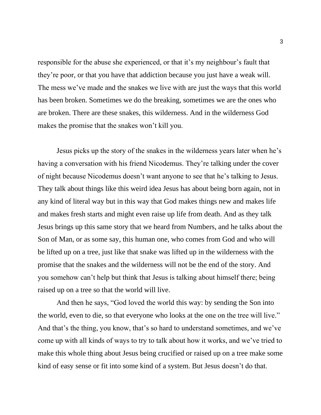responsible for the abuse she experienced, or that it's my neighbour's fault that they're poor, or that you have that addiction because you just have a weak will. The mess we've made and the snakes we live with are just the ways that this world has been broken. Sometimes we do the breaking, sometimes we are the ones who are broken. There are these snakes, this wilderness. And in the wilderness God makes the promise that the snakes won't kill you.

Jesus picks up the story of the snakes in the wilderness years later when he's having a conversation with his friend Nicodemus. They're talking under the cover of night because Nicodemus doesn't want anyone to see that he's talking to Jesus. They talk about things like this weird idea Jesus has about being born again, not in any kind of literal way but in this way that God makes things new and makes life and makes fresh starts and might even raise up life from death. And as they talk Jesus brings up this same story that we heard from Numbers, and he talks about the Son of Man, or as some say, this human one, who comes from God and who will be lifted up on a tree, just like that snake was lifted up in the wilderness with the promise that the snakes and the wilderness will not be the end of the story. And you somehow can't help but think that Jesus is talking about himself there; being raised up on a tree so that the world will live.

And then he says, "God loved the world this way: by sending the Son into the world, even to die, so that everyone who looks at the one on the tree will live." And that's the thing, you know, that's so hard to understand sometimes, and we've come up with all kinds of ways to try to talk about how it works, and we've tried to make this whole thing about Jesus being crucified or raised up on a tree make some kind of easy sense or fit into some kind of a system. But Jesus doesn't do that.